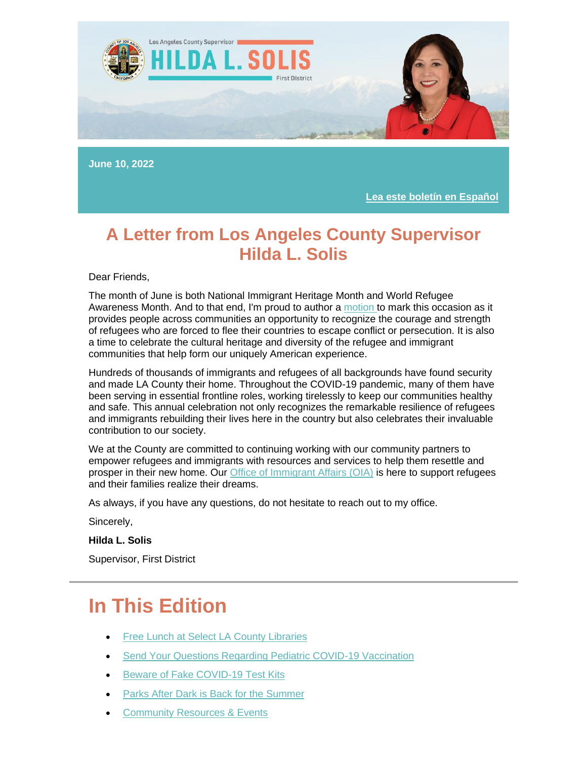

**June 10, 2022**

**[Lea este boletín en Español](https://nam12.safelinks.protection.outlook.com/?url=https%3A%2F%2Flnks.gd%2Fl%2FeyJhbGciOiJIUzI1NiJ9.eyJidWxsZXRpbl9saW5rX2lkIjoxMDEsInVyaSI6ImJwMjpjbGljayIsImJ1bGxldGluX2lkIjoiMjAyMjA2MTEuNTkyNDg2NDEiLCJ1cmwiOiJodHRwczovL3RyYW5zbGF0ZS5nb29nbGUuY29tL3RyYW5zbGF0ZT9obD1lbiZzbD1lbiZ0bD1lcyZ1PWh0dHBzJTNBJTJGJTJGY29udGVudC5nb3ZkZWxpdmVyeS5jb20lMkZhY2NvdW50cyUyRkNBTEFDT1VOVFklMkZidWxsZXRpbnMlMkYzMWI1YWFkJnV0bV9jb250ZW50PSZ1dG1fbWVkaXVtPWVtYWlsJnV0bV9uYW1lPSZ1dG1fc291cmNlPWdvdmRlbGl2ZXJ5JnV0bV90ZXJtPSJ9.1VAfahK-jI1WtvLq3pirNt3gO3JP444pylcf78VIT9M%2Fs%2F1843900806%2Fbr%2F132780637547-l&data=05%7C01%7C%7Cdc2d2ebbbc90426e413e08da4b5834df%7C84df9e7fe9f640afb435aaaaaaaaaaaa%7C1%7C0%7C637905139483252434%7CUnknown%7CTWFpbGZsb3d8eyJWIjoiMC4wLjAwMDAiLCJQIjoiV2luMzIiLCJBTiI6Ik1haWwiLCJXVCI6Mn0%3D%7C3000%7C%7C%7C&sdata=T5bT2yT6D1Tk06HUMzr05IJuSAGaHCNQ75VZa92udZU%3D&reserved=0)**

#### **A Letter from Los Angeles County Supervisor Hilda L. Solis**

Dear Friends,

The month of June is both National Immigrant Heritage Month and World Refugee Awareness Month. And to that end, I'm proud to author a [motion t](https://nam12.safelinks.protection.outlook.com/?url=https%3A%2F%2Flnks.gd%2Fl%2FeyJhbGciOiJIUzI1NiJ9.eyJidWxsZXRpbl9saW5rX2lkIjoxMDIsInVyaSI6ImJwMjpjbGljayIsImJ1bGxldGluX2lkIjoiMjAyMjA2MTEuNTkyNDg2NDEiLCJ1cmwiOiJodHRwOi8vZmlsZS5sYWNvdW50eS5nb3YvU0RTSW50ZXIvYm9zL3N1cGRvY3MvMTY5NzgyLnBkZj91dG1fY29udGVudD0mdXRtX21lZGl1bT1lbWFpbCZ1dG1fbmFtZT0mdXRtX3NvdXJjZT1nb3ZkZWxpdmVyeSZ1dG1fdGVybT0ifQ.jlsrNgKdVbzkdIwQ5e6yjSdYx8H1fVcDhEI31x1Y6ro%2Fs%2F1843900806%2Fbr%2F132780637547-l&data=05%7C01%7C%7Cdc2d2ebbbc90426e413e08da4b5834df%7C84df9e7fe9f640afb435aaaaaaaaaaaa%7C1%7C0%7C637905139483252434%7CUnknown%7CTWFpbGZsb3d8eyJWIjoiMC4wLjAwMDAiLCJQIjoiV2luMzIiLCJBTiI6Ik1haWwiLCJXVCI6Mn0%3D%7C3000%7C%7C%7C&sdata=KGualW%2FSjK%2FrTm8MSZs1kRVhkApnj8EVJ8ZJHcIBDVU%3D&reserved=0)o mark this occasion as it provides people across communities an opportunity to recognize the courage and strength of refugees who are forced to flee their countries to escape conflict or persecution. It is also a time to celebrate the cultural heritage and diversity of the refugee and immigrant communities that help form our uniquely American experience.

Hundreds of thousands of immigrants and refugees of all backgrounds have found security and made LA County their home. Throughout the COVID-19 pandemic, many of them have been serving in essential frontline roles, working tirelessly to keep our communities healthy and safe. This annual celebration not only recognizes the remarkable resilience of refugees and immigrants rebuilding their lives here in the country but also celebrates their invaluable contribution to our society.

We at the County are committed to continuing working with our community partners to empower refugees and immigrants with resources and services to help them resettle and prosper in their new home. Our [Office of Immigrant Affairs \(OIA\)](https://nam12.safelinks.protection.outlook.com/?url=https%3A%2F%2Flnks.gd%2Fl%2FeyJhbGciOiJIUzI1NiJ9.eyJidWxsZXRpbl9saW5rX2lkIjoxMDMsInVyaSI6ImJwMjpjbGljayIsImJ1bGxldGluX2lkIjoiMjAyMjA2MTEuNTkyNDg2NDEiLCJ1cmwiOiJodHRwczovL29pYS5sYWNvdW50eS5nb3YvP3V0bV9jb250ZW50PSZ1dG1fbWVkaXVtPWVtYWlsJnV0bV9uYW1lPSZ1dG1fc291cmNlPWdvdmRlbGl2ZXJ5JnV0bV90ZXJtPSJ9.1syvkNKPLUjiOjuTe53bCa-66i8hxWz9cVrrjLFDx7A%2Fs%2F1843900806%2Fbr%2F132780637547-l&data=05%7C01%7C%7Cdc2d2ebbbc90426e413e08da4b5834df%7C84df9e7fe9f640afb435aaaaaaaaaaaa%7C1%7C0%7C637905139483252434%7CUnknown%7CTWFpbGZsb3d8eyJWIjoiMC4wLjAwMDAiLCJQIjoiV2luMzIiLCJBTiI6Ik1haWwiLCJXVCI6Mn0%3D%7C3000%7C%7C%7C&sdata=6yrlFu51BwCku3zLP1E60QPGuPizTBFOsMQN4y87R5U%3D&reserved=0) is here to support refugees and their families realize their dreams.

As always, if you have any questions, do not hesitate to reach out to my office.

Sincerely,

**Hilda L. Solis**

Supervisor, First District

### **In This Edition**

- **[Free Lunch at Select LA County Libraries](https://outlook.live.com/mail/0/inbox/id/AQMkADAwATExADVmOC02OTRhLTIwZmYALTAwAi0wMAoARgAAAzpmvov7Kq9NuhcF%2BU9kz1MHAMvvNMrr71RLqV4kq2zl348AAAIBDAAAAMvvNMrr71RLqV4kq2zl348ABWJxK7UAAAA%3D#x_link_6)**
- [Send Your Questions Regarding Pediatric COVID-19 Vaccination](https://outlook.live.com/mail/0/inbox/id/AQMkADAwATExADVmOC02OTRhLTIwZmYALTAwAi0wMAoARgAAAzpmvov7Kq9NuhcF%2BU9kz1MHAMvvNMrr71RLqV4kq2zl348AAAIBDAAAAMvvNMrr71RLqV4kq2zl348ABWJxK7UAAAA%3D#x_link_4)
- [Beware of Fake COVID-19 Test Kits](https://outlook.live.com/mail/0/inbox/id/AQMkADAwATExADVmOC02OTRhLTIwZmYALTAwAi0wMAoARgAAAzpmvov7Kq9NuhcF%2BU9kz1MHAMvvNMrr71RLqV4kq2zl348AAAIBDAAAAMvvNMrr71RLqV4kq2zl348ABWJxK7UAAAA%3D#x_link_2)
- [Parks After Dark is Back for the Summer](https://outlook.live.com/mail/0/inbox/id/AQMkADAwATExADVmOC02OTRhLTIwZmYALTAwAi0wMAoARgAAAzpmvov7Kq9NuhcF%2BU9kz1MHAMvvNMrr71RLqV4kq2zl348AAAIBDAAAAMvvNMrr71RLqV4kq2zl348ABWJxK7UAAAA%3D#x_link_3)
- **[Community Resources & Events](https://outlook.live.com/mail/0/inbox/id/AQMkADAwATExADVmOC02OTRhLTIwZmYALTAwAi0wMAoARgAAAzpmvov7Kq9NuhcF%2BU9kz1MHAMvvNMrr71RLqV4kq2zl348AAAIBDAAAAMvvNMrr71RLqV4kq2zl348ABWJxK7UAAAA%3D#x_link_1)**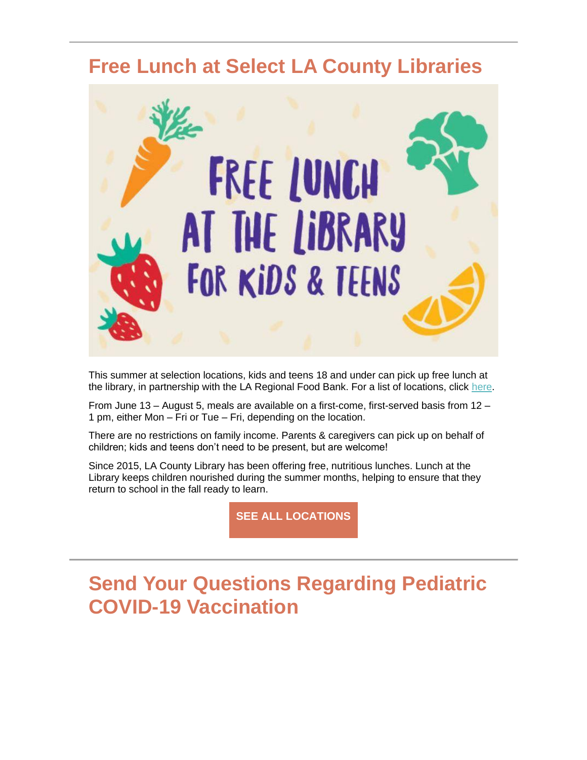#### **Free Lunch at Select LA County Libraries**



This summer at selection locations, kids and teens 18 and under can pick up free lunch at the library, in partnership with the LA Regional Food Bank. For a list of locations, click [here.](https://nam12.safelinks.protection.outlook.com/?url=https%3A%2F%2Flnks.gd%2Fl%2FeyJhbGciOiJIUzI1NiJ9.eyJidWxsZXRpbl9saW5rX2lkIjoxMDQsInVyaSI6ImJwMjpjbGljayIsImJ1bGxldGluX2lkIjoiMjAyMjA2MTEuNTkyNDg2NDEiLCJ1cmwiOiJodHRwczovL2xhY291bnR5bGlicmFyeS5vcmcvc3VtbWVybHVuY2gvP3V0bV9jb250ZW50PSZ1dG1fbWVkaXVtPWVtYWlsJnV0bV9uYW1lPSZ1dG1fc291cmNlPWdvdmRlbGl2ZXJ5JnV0bV90ZXJtPSJ9.V3giaz3pCQQ3tuGFRl96G0PT_4S5axsLlMt3j6xsE_Y%2Fs%2F1843900806%2Fbr%2F132780637547-l&data=05%7C01%7C%7Cdc2d2ebbbc90426e413e08da4b5834df%7C84df9e7fe9f640afb435aaaaaaaaaaaa%7C1%7C0%7C637905139483408434%7CUnknown%7CTWFpbGZsb3d8eyJWIjoiMC4wLjAwMDAiLCJQIjoiV2luMzIiLCJBTiI6Ik1haWwiLCJXVCI6Mn0%3D%7C3000%7C%7C%7C&sdata=1AYOeFf%2Fjie8wE4F0qN%2B9aHQJNnezrlgybU9KzSGlSo%3D&reserved=0)

From June 13 – August 5, meals are available on a first-come, first-served basis from 12 – 1 pm, either Mon – Fri or Tue – Fri, depending on the location.

There are no restrictions on family income. Parents & caregivers can pick up on behalf of children; kids and teens don't need to be present, but are welcome!

Since 2015, LA County Library has been offering free, nutritious lunches. Lunch at the Library keeps children nourished during the summer months, helping to ensure that they return to school in the fall ready to learn.

**[SEE ALL LOCATIONS](https://nam12.safelinks.protection.outlook.com/?url=https%3A%2F%2Flnks.gd%2Fl%2FeyJhbGciOiJIUzI1NiJ9.eyJidWxsZXRpbl9saW5rX2lkIjoxMDUsInVyaSI6ImJwMjpjbGljayIsImJ1bGxldGluX2lkIjoiMjAyMjA2MTEuNTkyNDg2NDEiLCJ1cmwiOiJodHRwczovL2xhY291bnR5bGlicmFyeS5vcmcvc3VtbWVybHVuY2gvP3V0bV9jb250ZW50PSZ1dG1fbWVkaXVtPWVtYWlsJnV0bV9uYW1lPSZ1dG1fc291cmNlPWdvdmRlbGl2ZXJ5JnV0bV90ZXJtPSJ9.6ID06ZMr46K2mUnQSTi2_8gv_ls7aS9GsqLvcS9ToR0%2Fs%2F1843900806%2Fbr%2F132780637547-l&data=05%7C01%7C%7Cdc2d2ebbbc90426e413e08da4b5834df%7C84df9e7fe9f640afb435aaaaaaaaaaaa%7C1%7C0%7C637905139483408434%7CUnknown%7CTWFpbGZsb3d8eyJWIjoiMC4wLjAwMDAiLCJQIjoiV2luMzIiLCJBTiI6Ik1haWwiLCJXVCI6Mn0%3D%7C3000%7C%7C%7C&sdata=9YEblM3z0tFR5deonZ%2BEijY6E24CKGOWAAByYMuMgus%3D&reserved=0)**

## **Send Your Questions Regarding Pediatric COVID-19 Vaccination**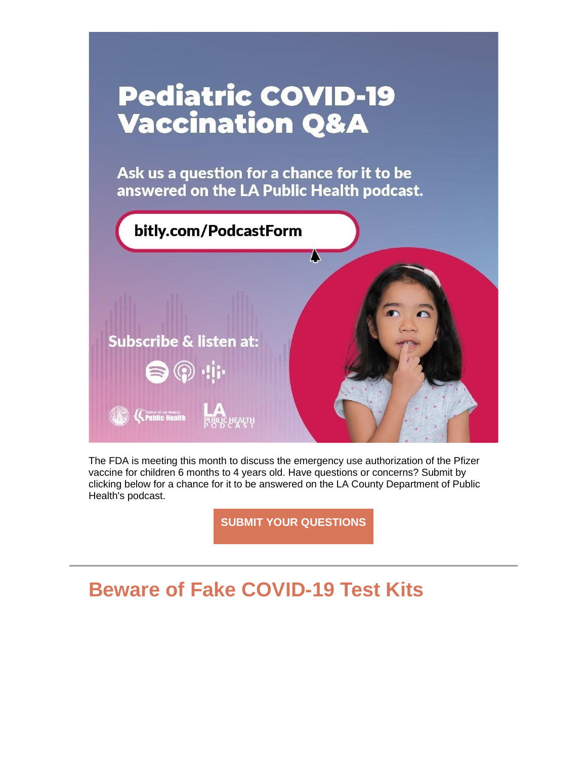

The FDA is meeting this month to discuss the emergency use authorization of the Pfizer vaccine for children 6 months to 4 years old. Have questions or concerns? Submit by clicking below for a chance for it to be answered on the LA County Department of Public Health's podcast.

**[SUBMIT YOUR QUESTIONS](https://nam12.safelinks.protection.outlook.com/?url=https%3A%2F%2Flnks.gd%2Fl%2FeyJhbGciOiJIUzI1NiJ9.eyJidWxsZXRpbl9saW5rX2lkIjoxMDYsInVyaSI6ImJwMjpjbGljayIsImJ1bGxldGluX2lkIjoiMjAyMjA2MTEuNTkyNDg2NDEiLCJ1cmwiOiJodHRwczovL2RvY3MuZ29vZ2xlLmNvbS9mb3Jtcy9kL2UvMUZBSXBRTFNkQk00Wngwc3lodWwzN2NUams3VmJLZUt2Vkh5cWJsMExHclFmZ1FuMzg3bUZFeVEvdmlld2Zvcm0_dXRtX2NvbnRlbnQ9JnV0bV9tZWRpdW09ZW1haWwmdXRtX25hbWU9JnV0bV9zb3VyY2U9Z292ZGVsaXZlcnkmdXRtX3Rlcm09In0.QV4_T7XW5IcU6AkK8PQqGQIs9fUIJ_sohbZbMR_UWIQ%2Fs%2F1843900806%2Fbr%2F132780637547-l&data=05%7C01%7C%7Cdc2d2ebbbc90426e413e08da4b5834df%7C84df9e7fe9f640afb435aaaaaaaaaaaa%7C1%7C0%7C637905139483408434%7CUnknown%7CTWFpbGZsb3d8eyJWIjoiMC4wLjAwMDAiLCJQIjoiV2luMzIiLCJBTiI6Ik1haWwiLCJXVCI6Mn0%3D%7C3000%7C%7C%7C&sdata=OJzw2N2saVZ8vLihd5WTS5Kb4fptSyXuNAy%2BhXXTMpc%3D&reserved=0)**

### **Beware of Fake COVID-19 Test Kits**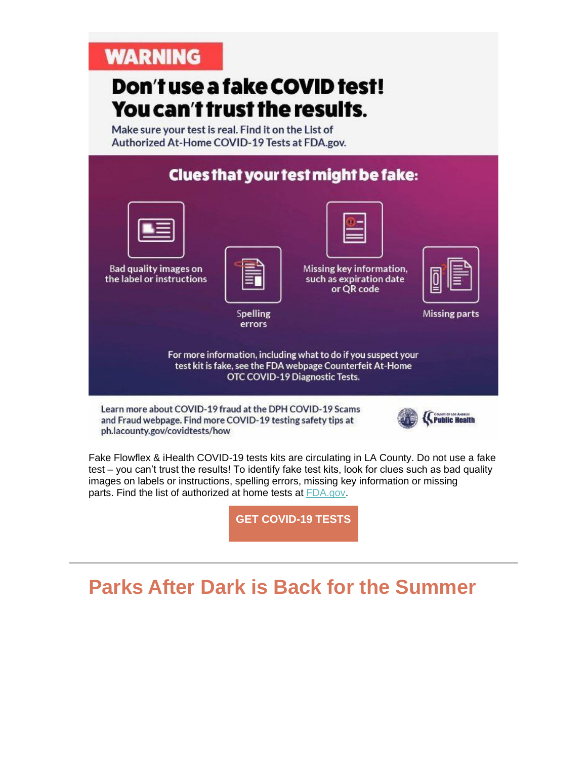### **WARNING**

# Don't use a fake COVID test! You can't trust the results.

Make sure your test is real. Find it on the List of Authorized At-Home COVID-19 Tests at FDA.gov.



and Fraud webpage. Find more COVID-19 testing safety tips at ph.lacounty.gov/covidtests/how



Fake Flowflex & iHealth COVID-19 tests kits are circulating in LA County. Do not use a fake test – you can't trust the results! To identify fake test kits, look for clues such as bad quality images on labels or instructions, spelling errors, missing key information or missing parts. Find the list of authorized at home tests at [FDA.gov.](https://nam12.safelinks.protection.outlook.com/?url=https%3A%2F%2Flnks.gd%2Fl%2FeyJhbGciOiJIUzI1NiJ9.eyJidWxsZXRpbl9saW5rX2lkIjoxMDUsInVyaSI6ImJwMjpjbGljayIsImJ1bGxldGluX2lkIjoiMjAyMjA2MDkuNTkxNzM3NTEiLCJ1cmwiOiJodHRwczovL3d3dy5mZGEuZ292Lz91dG1fY29udGVudD0mdXRtX21lZGl1bT1lbWFpbCZ1dG1fbmFtZT0mdXRtX3NvdXJjZT1nb3ZkZWxpdmVyeSZ1dG1fdGVybT0ifQ.FHtLgFr8YYHA7_lDLXjy0bv0Reg_lLaep8Yll6mGwG4%2Fs%2F992823064%2Fbr%2F132694268044-l%3Futm_content%3D%26utm_medium%3Demail%26utm_name%3D%26utm_source%3Dgovdelivery%26utm_term%3D&data=05%7C01%7C%7Cdc2d2ebbbc90426e413e08da4b5834df%7C84df9e7fe9f640afb435aaaaaaaaaaaa%7C1%7C0%7C637905139483408434%7CUnknown%7CTWFpbGZsb3d8eyJWIjoiMC4wLjAwMDAiLCJQIjoiV2luMzIiLCJBTiI6Ik1haWwiLCJXVCI6Mn0%3D%7C3000%7C%7C%7C&sdata=NBDPK%2FwPE4jlMrf7QWI60y6B%2Blaj9eLLi9BIbini%2BO4%3D&reserved=0)

**[GET COVID-19 TESTS](https://nam12.safelinks.protection.outlook.com/?url=https%3A%2F%2Flnks.gd%2Fl%2FeyJhbGciOiJIUzI1NiJ9.eyJidWxsZXRpbl9saW5rX2lkIjoxMDcsInVyaSI6ImJwMjpjbGljayIsImJ1bGxldGluX2lkIjoiMjAyMjA2MTEuNTkyNDg2NDEiLCJ1cmwiOiJodHRwOi8vcHVibGljaGVhbHRoLmxhY291bnR5Lmdvdi9hY2QvbmNvcm9uYTIwMTkvY292aWR0ZXN0cy9ob3cvP3V0bV9jb250ZW50PSZ1dG1fbWVkaXVtPWVtYWlsJnV0bV9uYW1lPSZ1dG1fc291cmNlPWdvdmRlbGl2ZXJ5JnV0bV90ZXJtPSJ9.AkuVRZr61wjYkC7SIAIsUZ1DNKj5OZSZbe6O81Omc2Q%2Fs%2F1843900806%2Fbr%2F132780637547-l&data=05%7C01%7C%7Cdc2d2ebbbc90426e413e08da4b5834df%7C84df9e7fe9f640afb435aaaaaaaaaaaa%7C1%7C0%7C637905139483408434%7CUnknown%7CTWFpbGZsb3d8eyJWIjoiMC4wLjAwMDAiLCJQIjoiV2luMzIiLCJBTiI6Ik1haWwiLCJXVCI6Mn0%3D%7C3000%7C%7C%7C&sdata=d0ecuuzwHjbXhpBdBMa2OYsbfYG07hhT8W%2BhkYhKtFQ%3D&reserved=0)**

## **Parks After Dark is Back for the Summer**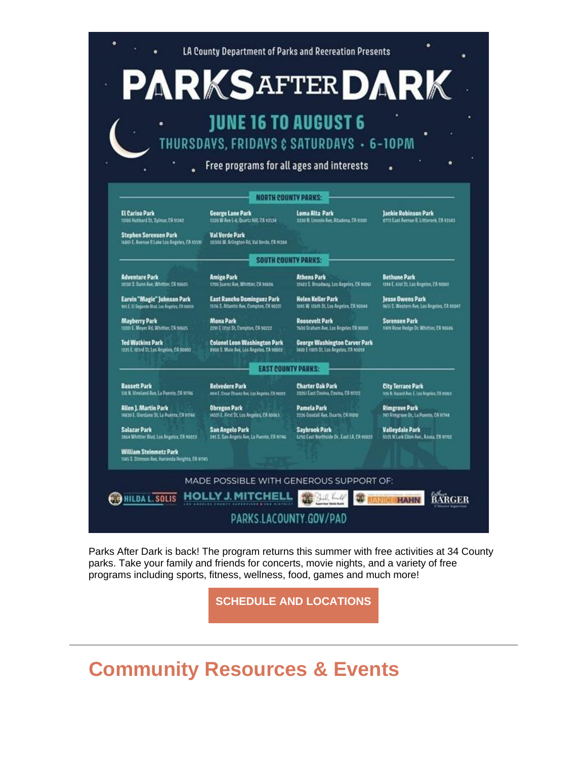

Parks After Dark is back! The program returns this summer with free activities at 34 County parks. Take your family and friends for concerts, movie nights, and a variety of free programs including sports, fitness, wellness, food, games and much more!

**[SCHEDULE AND LOCATIONS](https://nam12.safelinks.protection.outlook.com/?url=https%3A%2F%2Flnks.gd%2Fl%2FeyJhbGciOiJIUzI1NiJ9.eyJidWxsZXRpbl9saW5rX2lkIjoxMDgsInVyaSI6ImJwMjpjbGljayIsImJ1bGxldGluX2lkIjoiMjAyMjA2MTEuNTkyNDg2NDEiLCJ1cmwiOiJodHRwczovL3BhcmtzLmxhY291bnR5Lmdvdi93cC1jb250ZW50L3VwbG9hZHMvMjAyMi8wNS9QQUQtU3VtbWVyLVNjaGVkdWxlLnBkZj91dG1fY29udGVudD0mdXRtX21lZGl1bT1lbWFpbCZ1dG1fbmFtZT0mdXRtX3NvdXJjZT1nb3ZkZWxpdmVyeSZ1dG1fdGVybT0ifQ.Wfx_XGHvuPyGWmT_BQA6EicI3Zj5ffnD2Wj2rt1KJas%2Fs%2F1843900806%2Fbr%2F132780637547-l&data=05%7C01%7C%7Cdc2d2ebbbc90426e413e08da4b5834df%7C84df9e7fe9f640afb435aaaaaaaaaaaa%7C1%7C0%7C637905139483408434%7CUnknown%7CTWFpbGZsb3d8eyJWIjoiMC4wLjAwMDAiLCJQIjoiV2luMzIiLCJBTiI6Ik1haWwiLCJXVCI6Mn0%3D%7C3000%7C%7C%7C&sdata=eLFNRu0pdpC2ivI%2BSHhS3WNwko1rNjTbf1ioFb8GAbs%3D&reserved=0)**

## **Community Resources & Events**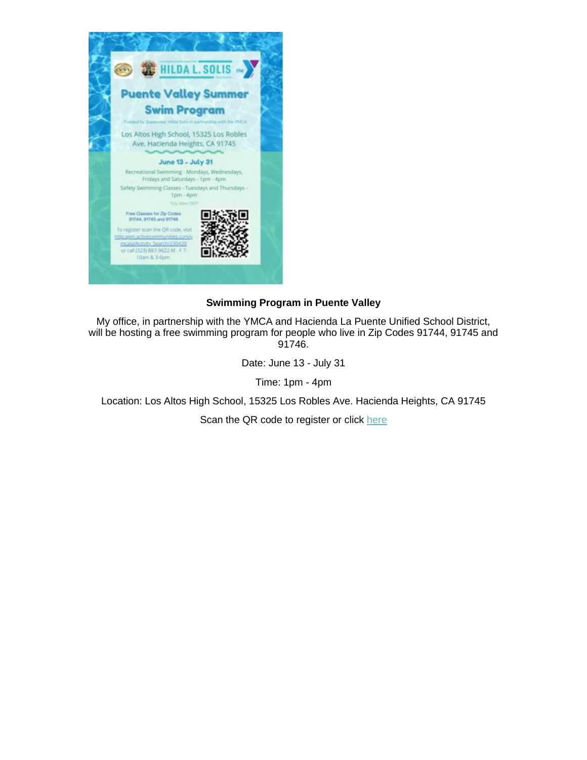

#### **Swimming Program in Puente Valley**

My office, in partnership with the YMCA and Hacienda La Puente Unified School District, will be hosting a free swimming program for people who live in Zip Codes 91744, 91745 and 91746.

Date: June 13 - July 31

Time: 1pm - 4pm

Location: Los Altos High School, 15325 Los Robles Ave. Hacienda Heights, CA 91745

Scan the QR code to register or click [here](https://nam12.safelinks.protection.outlook.com/?url=https%3A%2F%2Flnks.gd%2Fl%2FeyJhbGciOiJIUzI1NiJ9.eyJidWxsZXRpbl9saW5rX2lkIjoxMDksInVyaSI6ImJwMjpjbGljayIsImJ1bGxldGluX2lkIjoiMjAyMjA2MTEuNTkyNDg2NDEiLCJ1cmwiOiJodHRwOmFwbS5hY3RpdmVjb21tdW5pdGllcy5jb20veW1jYWxhL0FjdGl2aXR5X1NlYXJjaC8yMzA0MjA_dXRtX2NvbnRlbnQ9JnV0bV9tZWRpdW09ZW1haWwmdXRtX25hbWU9JnV0bV9zb3VyY2U9Z292ZGVsaXZlcnkmdXRtX3Rlcm09In0.Drb2WiWUvnYa6e2Z4ZVwxBL3UR6WVI6q8jJpd5D2rh8%2Fs%2F1843900806%2Fbr%2F132780637547-l&data=05%7C01%7C%7Cdc2d2ebbbc90426e413e08da4b5834df%7C84df9e7fe9f640afb435aaaaaaaaaaaa%7C1%7C0%7C637905139483408434%7CUnknown%7CTWFpbGZsb3d8eyJWIjoiMC4wLjAwMDAiLCJQIjoiV2luMzIiLCJBTiI6Ik1haWwiLCJXVCI6Mn0%3D%7C3000%7C%7C%7C&sdata=cWCZOxQnBx4tLhi6%2B042iH0Iu%2F9bg1Xz83VBdaAeuGE%3D&reserved=0)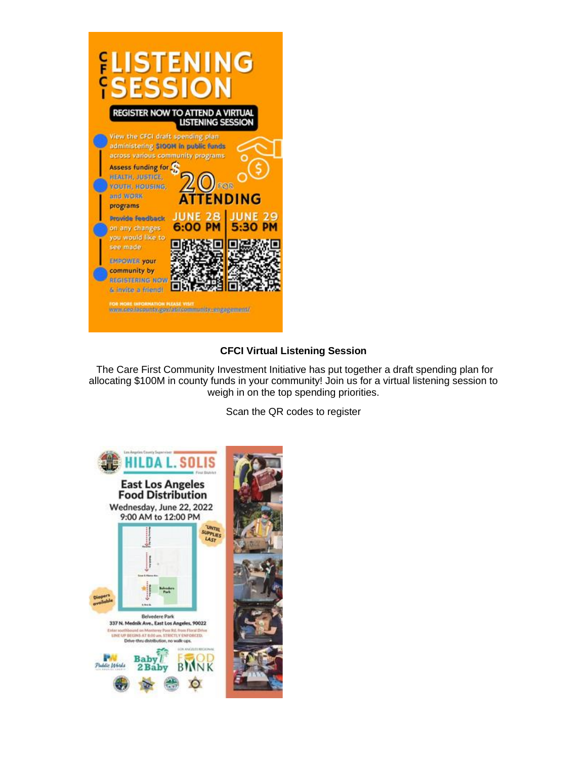

#### **CFCI Virtual Listening Session**

The Care First Community Investment Initiative has put together a draft spending plan for allocating \$100M in county funds in your community! Join us for a virtual listening session to weigh in on the top spending priorities.

Scan the QR codes to register